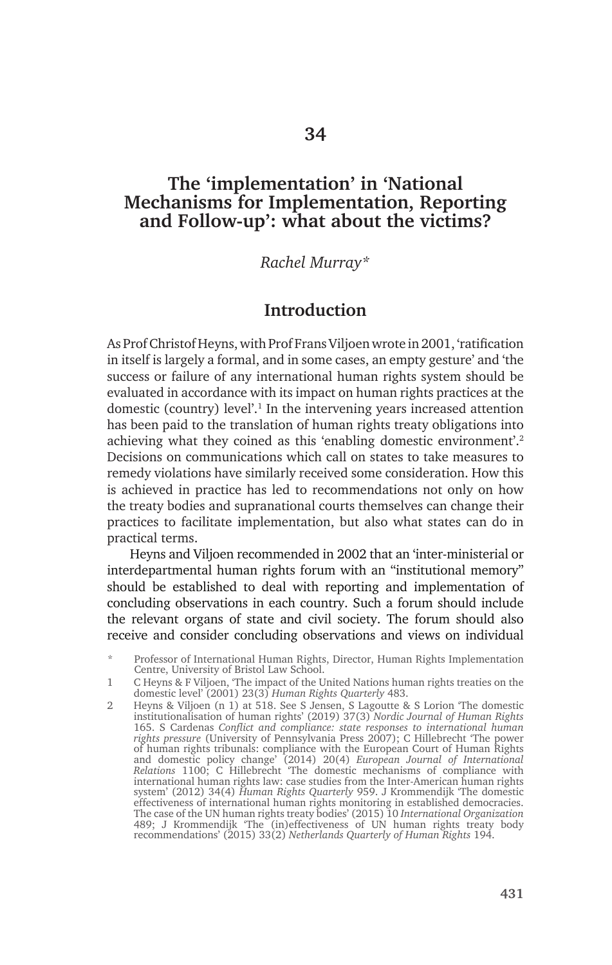### **The 'implementation' in 'National Mechanisms for Implementation, Reporting and Follow-up': what about the victims?**

#### *Rachel Murray\**

#### **Introduction**

As Prof Christof Heyns, with Prof Frans Viljoen wrote in 2001, 'ratification in itself is largely a formal, and in some cases, an empty gesture' and 'the success or failure of any international human rights system should be evaluated in accordance with its impact on human rights practices at the domestic (country) level'.<sup>1</sup> In the intervening years increased attention has been paid to the translation of human rights treaty obligations into achieving what they coined as this 'enabling domestic environment'.<sup>2</sup> Decisions on communications which call on states to take measures to remedy violations have similarly received some consideration. How this is achieved in practice has led to recommendations not only on how the treaty bodies and supranational courts themselves can change their practices to facilitate implementation, but also what states can do in practical terms.

Heyns and Viljoen recommended in 2002 that an 'inter-ministerial or interdepartmental human rights forum with an "institutional memory" should be established to deal with reporting and implementation of concluding observations in each country. Such a forum should include the relevant organs of state and civil society. The forum should also receive and consider concluding observations and views on individual

Professor of International Human Rights, Director, Human Rights Implementation Centre, University of Bristol Law School.

<sup>1</sup> C Heyns & F Viljoen, 'The impact of the United Nations human rights treaties on the domestic level' (2001) 23(3) *Human Rights Quarterly* 483.

<sup>2</sup> Heyns & Viljoen (n 1) at 518. See S Jensen, S Lagoutte & S Lorion 'The domestic institutionalisation of human rights' (2019) 37(3) *Nordic Journal of Human Rights* 165. S Cardenas *Conflict and compliance: state responses to international human rights pressure* (University of Pennsylvania Press 2007); C Hillebrecht 'The power of human rights tribunals: compliance with the European Court of Human Rights and domestic policy change' (2014) 20(4) *European Journal of International Relations* 1100; C Hillebrecht 'The domestic mechanisms of compliance with international human rights law: case studies from the Inter-American human rights system' (2012) 34(4) *Human Rights Quarterly* 959. J Krommendijk 'The domestic effectiveness of international human rights monitoring in established democracies. The case of the UN human rights treaty bodies' (2015) 10 *International Organization* 489; J Krommendijk 'The (in)effectiveness of UN human rights treaty body recommendations' (2015) 33(2) *Netherlands Quarterly of Human Rights* 194.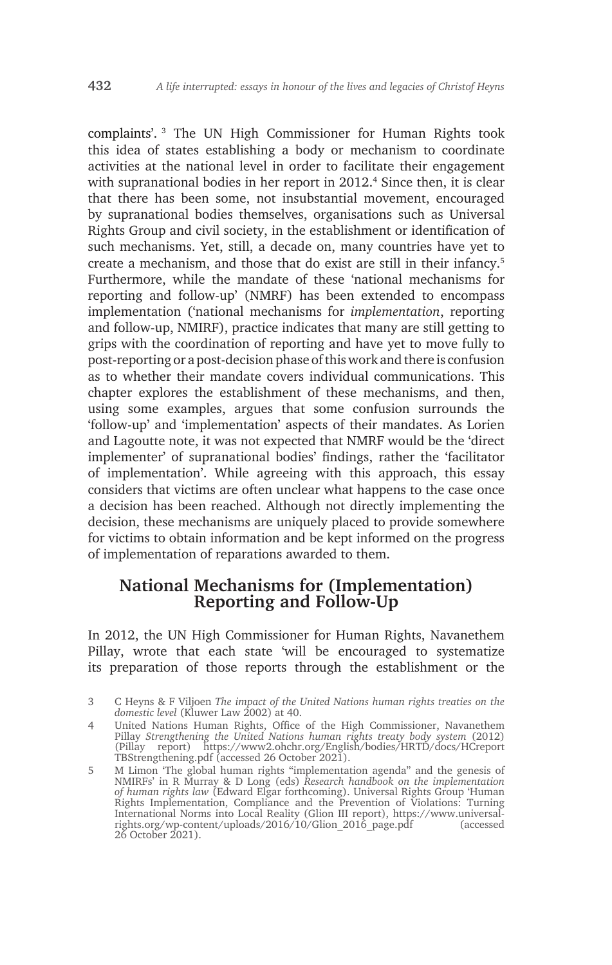complaints'. 3 The UN High Commissioner for Human Rights took this idea of states establishing a body or mechanism to coordinate activities at the national level in order to facilitate their engagement with supranational bodies in her report in 2012.<sup>4</sup> Since then, it is clear that there has been some, not insubstantial movement, encouraged by supranational bodies themselves, organisations such as Universal Rights Group and civil society, in the establishment or identification of such mechanisms. Yet, still, a decade on, many countries have yet to create a mechanism, and those that do exist are still in their infancy.5 Furthermore, while the mandate of these 'national mechanisms for reporting and follow-up' (NMRF) has been extended to encompass implementation ('national mechanisms for *implementation*, reporting and follow-up, NMIRF), practice indicates that many are still getting to grips with the coordination of reporting and have yet to move fully to post-reporting or a post-decision phase of this work and there is confusion as to whether their mandate covers individual communications. This chapter explores the establishment of these mechanisms, and then, using some examples, argues that some confusion surrounds the 'follow-up' and 'implementation' aspects of their mandates. As Lorien and Lagoutte note, it was not expected that NMRF would be the 'direct implementer' of supranational bodies' findings, rather the 'facilitator of implementation'. While agreeing with this approach, this essay considers that victims are often unclear what happens to the case once a decision has been reached. Although not directly implementing the decision, these mechanisms are uniquely placed to provide somewhere for victims to obtain information and be kept informed on the progress of implementation of reparations awarded to them.

## **National Mechanisms for (Implementation) Reporting and Follow-Up**

In 2012, the UN High Commissioner for Human Rights, Navanethem Pillay, wrote that each state 'will be encouraged to systematize its preparation of those reports through the establishment or the

- 4 United Nations Human Rights, Office of the High Commissioner, Navanethem Pillay *Strengthening the United Nations human rights treaty body system* (2012) (Pillay report) https://www2.ohchr.org/English/bodies/HRTD/docs/HCreport TBStrengthening.pdf (accessed 26 October 2021).
- 5 M Limon 'The global human rights "implementation agenda" and the genesis of NMIRFs' in R Murray & D Long (eds) *Research handbook on the implementation of human rights law* (Edward Elgar forthcoming). Universal Rights Group 'Human Rights Implementation, Compliance and the Prevention of Violations: Turning International Norms into Local Reality (Glion III report), https://www.universalrights.org/wp-content/uploads/2016/10/Glion\_2016\_page.pdf (accessed 26 October 2021).

<sup>3</sup> C Heyns & F Viljoen *The impact of the United Nations human rights treaties on the domestic level* (Kluwer Law 2002) at 40.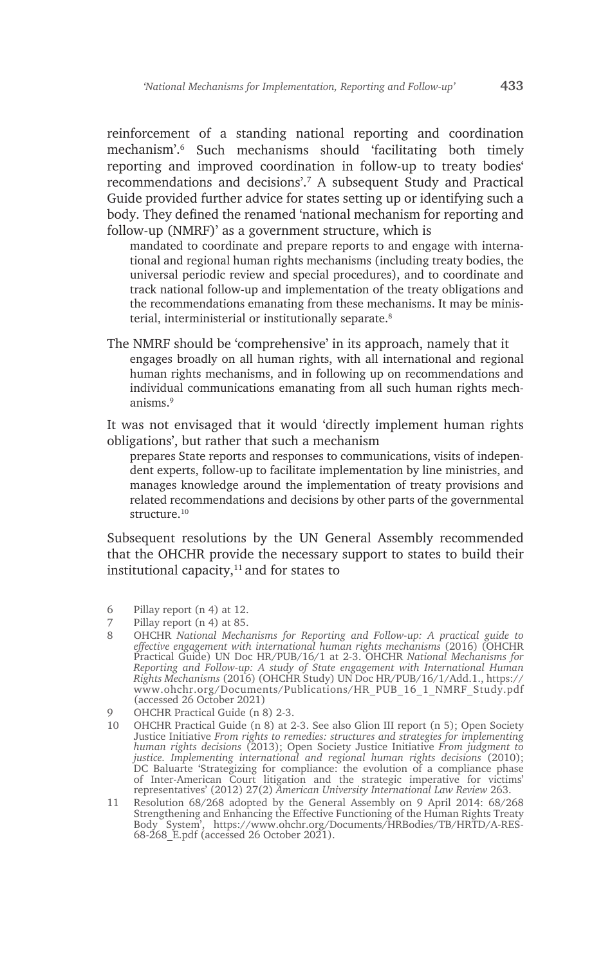reinforcement of a standing national reporting and coordination mechanism'.<sup>6</sup> Such mechanisms should 'facilitating both timely reporting and improved coordination in follow-up to treaty bodies' recommendations and decisions'.7 A subsequent Study and Practical Guide provided further advice for states setting up or identifying such a body. They defined the renamed 'national mechanism for reporting and follow-up (NMRF)' as a government structure, which is

mandated to coordinate and prepare reports to and engage with international and regional human rights mechanisms (including treaty bodies, the universal periodic review and special procedures), and to coordinate and track national follow-up and implementation of the treaty obligations and the recommendations emanating from these mechanisms. It may be ministerial, interministerial or institutionally separate.<sup>8</sup>

The NMRF should be 'comprehensive' in its approach, namely that it engages broadly on all human rights, with all international and regional human rights mechanisms, and in following up on recommendations and individual communications emanating from all such human rights mechanisms.9

It was not envisaged that it would 'directly implement human rights obligations', but rather that such a mechanism

prepares State reports and responses to communications, visits of independent experts, follow-up to facilitate implementation by line ministries, and manages knowledge around the implementation of treaty provisions and related recommendations and decisions by other parts of the governmental structure.<sup>10</sup>

Subsequent resolutions by the UN General Assembly recommended that the OHCHR provide the necessary support to states to build their institutional capacity, $11$  and for states to

- 6 Pillay report (n 4) at 12.
- 7 Pillay report (n 4) at 85.<br>8 OHCHR National Mecha
- 8 OHCHR *National Mechanisms for Reporting and Follow-up: A practical guide to effective engagement with international human rights mechanisms* (2016) (OHCHR Practical Guide) UN Doc HR/PUB/16/1 at 2-3. OHCHR *National Mechanisms for Reporting and Follow-up: A study of State engagement with International Human Rights Mechanisms* (2016) (OHCHR Study) UN Doc HR/PUB/16/1/Add.1., https:// www.ohchr.org/Documents/Publications/HR\_PUB\_16\_1\_NMRF\_Study.pdf (accessed 26 October 2021)
- 9 OHCHR Practical Guide (n 8) 2-3.
- 10 OHCHR Practical Guide (n 8) at 2-3. See also Glion III report (n 5); Open Society Justice Initiative *From rights to remedies: structures and strategies for implementing human rights decisions* (2013); Open Society Justice Initiative *From judgment to justice. Implementing international and regional human rights decisions* (2010); DC Baluarte 'Strategizing for compliance: the evolution of a compliance phase of Inter-American Court litigation and the strategic imperative for victims' representatives' (2012) 27(2) *American University International Law Review* 263.
- 11 Resolution 68/268 adopted by the General Assembly on 9 April 2014: 68/268 Strengthening and Enhancing the Effective Functioning of the Human Rights Treaty Body System', https://www.ohchr.org/Documents/HRBodies/TB/HRTD/A-RES-68-268\_E.pdf (accessed 26 October 2021).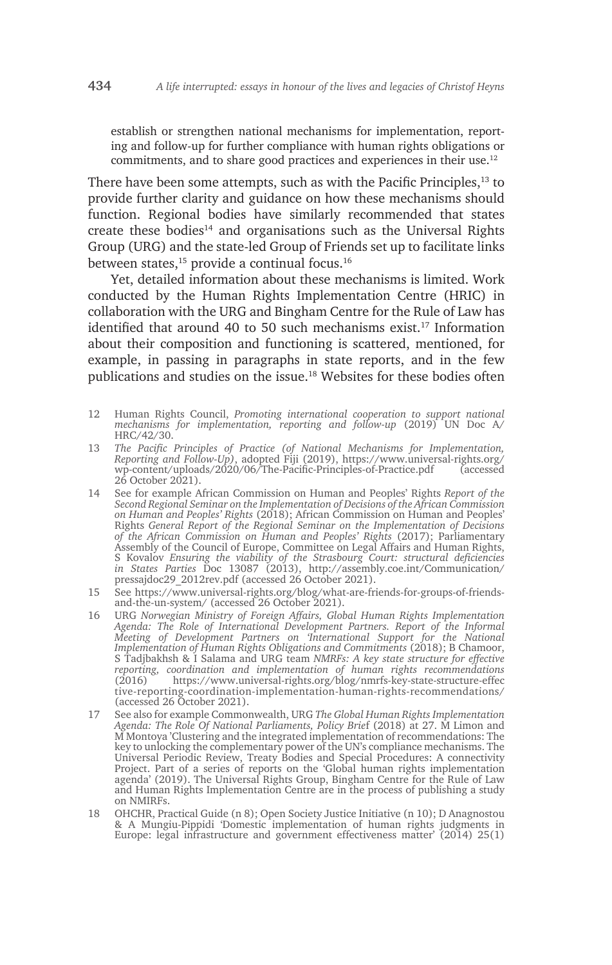establish or strengthen national mechanisms for implementation, reporting and follow-up for further compliance with human rights obligations or commitments, and to share good practices and experiences in their use.<sup>12</sup>

There have been some attempts, such as with the Pacific Principles,<sup>13</sup> to provide further clarity and guidance on how these mechanisms should function. Regional bodies have similarly recommended that states create these bodies<sup>14</sup> and organisations such as the Universal Rights Group (URG) and the state-led Group of Friends set up to facilitate links between states,<sup>15</sup> provide a continual focus.<sup>16</sup>

Yet, detailed information about these mechanisms is limited. Work conducted by the Human Rights Implementation Centre (HRIC) in collaboration with the URG and Bingham Centre for the Rule of Law has identified that around 40 to 50 such mechanisms exist.<sup>17</sup> Information about their composition and functioning is scattered, mentioned, for example, in passing in paragraphs in state reports, and in the few publications and studies on the issue.18 Websites for these bodies often

- 12 Human Rights Council, *Promoting international cooperation to support national mechanisms for implementation, reporting and follow-up* (2019) UN Doc A/ HRC/42/30.
- 13 *The Pacific Principles of Practice (of National Mechanisms for Implementation, Reporting and Follow-Up)*, adopted Fiji (2019), https://www.universal-rights.org/ wp-content/uploads/2020/06/The-Pacific-Principles-of-Practice.pdf (accessed 26 October 2021).
- 14 See for example African Commission on Human and Peoples' Rights *Report of the Second Regional Seminar on the Implementation of Decisions of the African Commission on Human and Peoples' Rights* (2018); African Commission on Human and Peoples' Rights *General Report of the Regional Seminar on the Implementation of Decisions of the African Commission on Human and Peoples' Rights* (2017); Parliamentary Assembly of the Council of Europe, Committee on Legal Affairs and Human Rights, S Kovalov *Ensuring the viability of the Strasbourg Court: structural deficiencies in States Parties* Doc 13087 (2013), http://assembly.coe.int/Communication/ pressajdoc29\_2012rev.pdf (accessed 26 October 2021).
- 15 See https://www.universal-rights.org/blog/what-are-friends-for-groups-of-friendsand-the-un-system/ (accessed 26 October 2021).
- 16 URG *Norwegian Ministry of Foreign Affairs, Global Human Rights Implementation Agenda: The Role of International Development Partners. Report of the Informal Meeting of Development Partners on 'International Support for the National Implementation of Human Rights Obligations and Commitments* (2018); B Chamoor, S Tadjbakhsh & I Salama and URG team *NMRFs: A key state structure for effective reporting, coordination and implementation of human rights recommendations* (2016) https://www.universal-rights.org/blog/nmrfs-key-state-structure-effec tive-reporting-coordination-implementation-human-rights-recommendations/ (accessed 26 October 2021).
- 17 See also for example Commonwealth, URG *The Global Human Rights Implementation Agenda: The Role Of National Parliaments, Policy Brie*f (2018) at 27. M Limon and M Montoya 'Clustering and the integrated implementation of recommendations: The key to unlocking the complementary power of the UN's compliance mechanisms. The Universal Periodic Review, Treaty Bodies and Special Procedures: A connectivity Project. Part of a series of reports on the 'Global human rights implementation agenda' (2019). The Universal Rights Group, Bingham Centre for the Rule of Law and Human Rights Implementation Centre are in the process of publishing a study on NMIRFs.
- 18 OHCHR, Practical Guide (n 8); Open Society Justice Initiative (n 10); D Anagnostou & A Mungiu-Pippidi 'Domestic implementation of human rights judgments in Europe: legal infrastructure and government effectiveness matter' (2014) 25(1)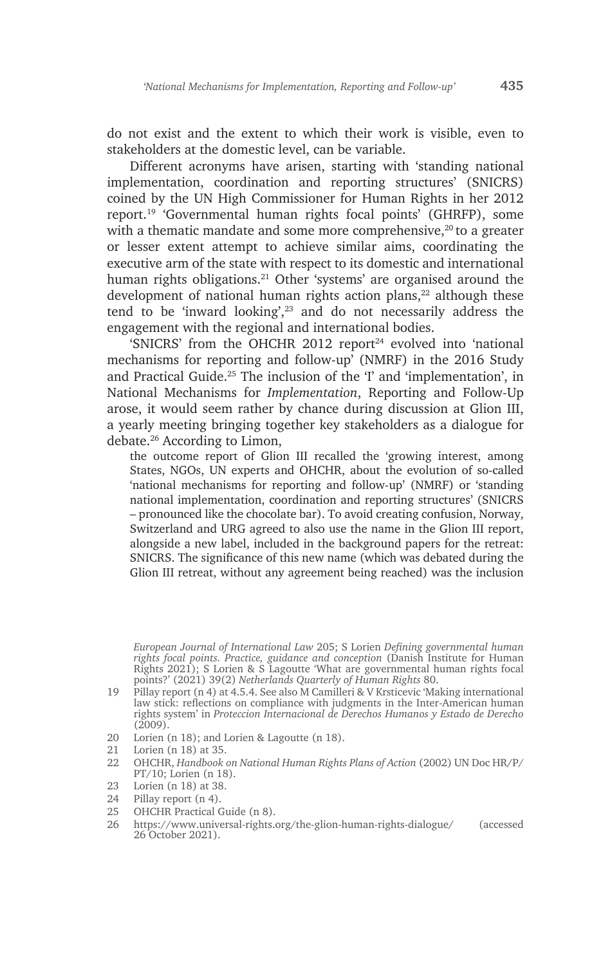do not exist and the extent to which their work is visible, even to stakeholders at the domestic level, can be variable.

Different acronyms have arisen, starting with 'standing national implementation, coordination and reporting structures' (SNICRS) coined by the UN High Commissioner for Human Rights in her 2012 report.19 'Governmental human rights focal points' (GHRFP), some with a thematic mandate and some more comprehensive,<sup>20</sup> to a greater or lesser extent attempt to achieve similar aims, coordinating the executive arm of the state with respect to its domestic and international human rights obligations.<sup>21</sup> Other 'systems' are organised around the development of national human rights action plans,<sup>22</sup> although these tend to be 'inward looking',23 and do not necessarily address the engagement with the regional and international bodies.

'SNICRS' from the OHCHR 2012 report<sup>24</sup> evolved into 'national mechanisms for reporting and follow-up' (NMRF) in the 2016 Study and Practical Guide.25 The inclusion of the 'I' and 'implementation', in National Mechanisms for *Implementation*, Reporting and Follow-Up arose, it would seem rather by chance during discussion at Glion III, a yearly meeting bringing together key stakeholders as a dialogue for debate.26 According to Limon,

the outcome report of Glion III recalled the 'growing interest, among States, NGOs, UN experts and OHCHR, about the evolution of so-called 'national mechanisms for reporting and follow-up' (NMRF) or 'standing national implementation, coordination and reporting structures' (SNICRS – pronounced like the chocolate bar). To avoid creating confusion, Norway, Switzerland and URG agreed to also use the name in the Glion III report, alongside a new label, included in the background papers for the retreat: SNICRS. The significance of this new name (which was debated during the Glion III retreat, without any agreement being reached) was the inclusion

*European Journal of International Law* 205; S Lorien *Defining governmental human rights focal points. Practice, guidance and conception* (Danish Institute for Human Rights 2021); S Lorien & S Lagoutte 'What are governmental human rights focal points?' (2021) 39(2) *Netherlands Quarterly of Human Rights* 80.

- 19 Pillay report (n 4) at 4.5.4. See also M Camilleri & V Krsticevic 'Making international law stick: reflections on compliance with judgments in the Inter-American human rights system' in *Proteccion Internacional de Derechos Humanos y Estado de Derecho*   $(2009)$ .
- 20 Lorien (n 18); and Lorien & Lagoutte (n 18).
- 21 Lorien (n 18) at 35.
- 22 OHCHR, *Handbook on National Human Rights Plans of Action* (2002) UN Doc HR/P/ PT/10; Lorien (n 18).
- 23 Lorien (n 18) at 38.
- 24 Pillay report (n 4).
- 25 OHCHR Practical Guide (n 8).<br>26 https://www.universal-rights.o
- 26 https://www.universal-rights.org/the-glion-human-rights-dialogue/ (accessed 26 October 2021).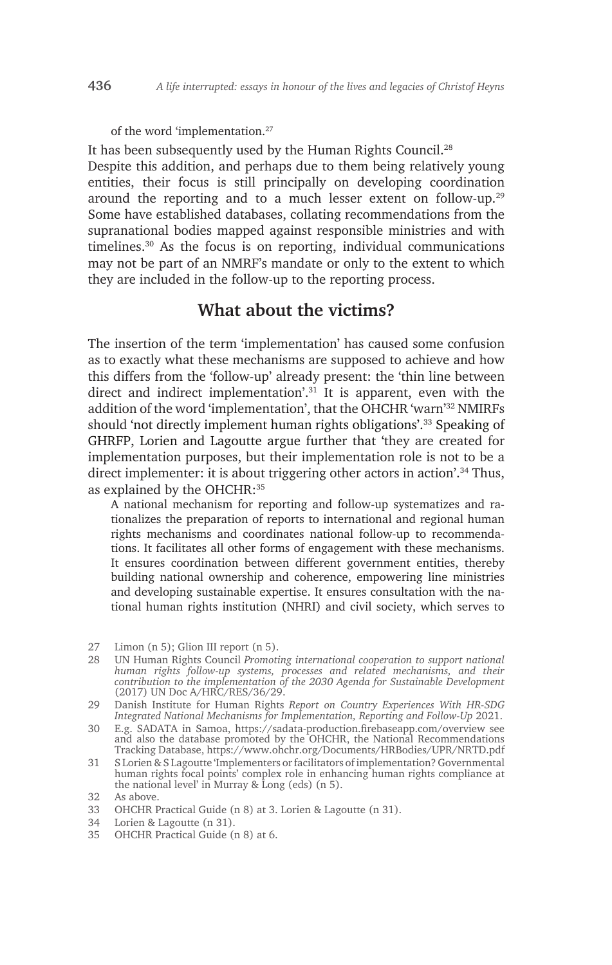of the word 'implementation.<sup>27</sup>

It has been subsequently used by the Human Rights Council.<sup>28</sup>

Despite this addition, and perhaps due to them being relatively young entities, their focus is still principally on developing coordination around the reporting and to a much lesser extent on follow-up.29 Some have established databases, collating recommendations from the supranational bodies mapped against responsible ministries and with timelines.30 As the focus is on reporting, individual communications may not be part of an NMRF's mandate or only to the extent to which they are included in the follow-up to the reporting process.

#### **What about the victims?**

The insertion of the term 'implementation' has caused some confusion as to exactly what these mechanisms are supposed to achieve and how this differs from the 'follow-up' already present: the 'thin line between direct and indirect implementation'.<sup>31</sup> It is apparent, even with the addition of the word 'implementation', that the OHCHR 'warn'32 NMIRFs should 'not directly implement human rights obligations'.<sup>33</sup> Speaking of GHRFP, Lorien and Lagoutte argue further that 'they are created for implementation purposes, but their implementation role is not to be a direct implementer: it is about triggering other actors in action'.<sup>34</sup> Thus, as explained by the OHCHR:<sup>35</sup>

A national mechanism for reporting and follow-up systematizes and rationalizes the preparation of reports to international and regional human rights mechanisms and coordinates national follow-up to recommendations. It facilitates all other forms of engagement with these mechanisms. It ensures coordination between different government entities, thereby building national ownership and coherence, empowering line ministries and developing sustainable expertise. It ensures consultation with the national human rights institution (NHRI) and civil society, which serves to

- 28 UN Human Rights Council *Promoting international cooperation to support national human rights follow-up systems, processes and related mechanisms, and their contribution to the implementation of the 2030 Agenda for Sustainable Development* (2017) UN Doc A/HRC/RES/36/29.
- 29 Danish Institute for Human Rights *Report on Country Experiences With HR-SDG Integrated National Mechanisms for Implementation, Reporting and Follow-Up* 2021.
- 30 E.g. SADATA in Samoa, https://sadata-production.firebaseapp.com/overview see and also the database promoted by the OHCHR, the National Recommendations Tracking Database, https://www.ohchr.org/Documents/HRBodies/UPR/NRTD.pdf
- 31 S Lorien & S Lagoutte 'Implementers or facilitators of implementation? Governmental human rights focal points' complex role in enhancing human rights compliance at the national level' in Murray & Long (eds) (n 5).

- 33 OHCHR Practical Guide (n 8) at 3. Lorien & Lagoutte (n 31).
- 34 Lorien & Lagoutte (n 31).
- 35 OHCHR Practical Guide (n 8) at 6.

<sup>27</sup> Limon (n 5); Glion III report (n 5).

<sup>32</sup> As above.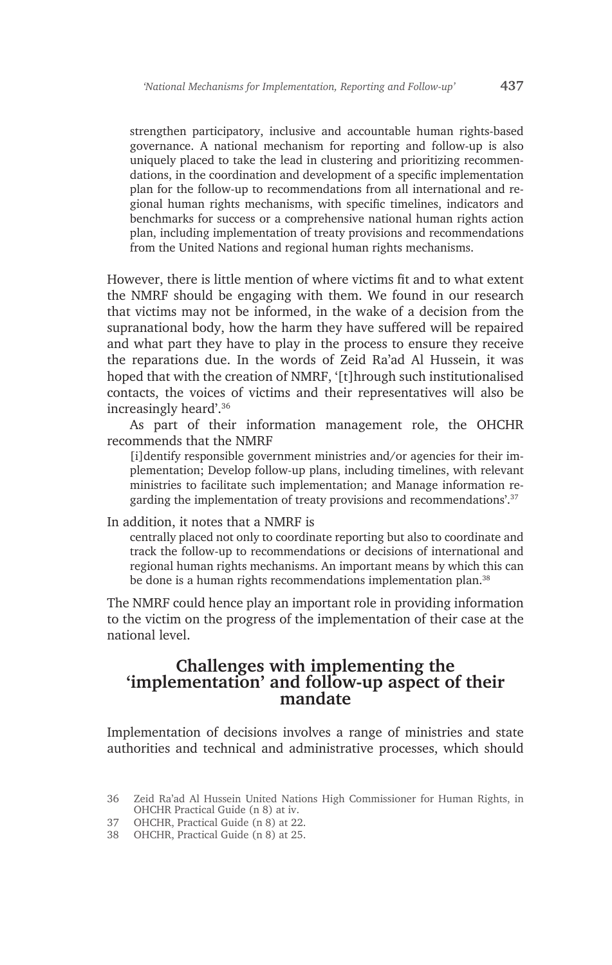strengthen participatory, inclusive and accountable human rights-based governance. A national mechanism for reporting and follow-up is also uniquely placed to take the lead in clustering and prioritizing recommendations, in the coordination and development of a specific implementation plan for the follow-up to recommendations from all international and regional human rights mechanisms, with specific timelines, indicators and benchmarks for success or a comprehensive national human rights action plan, including implementation of treaty provisions and recommendations from the United Nations and regional human rights mechanisms.

However, there is little mention of where victims fit and to what extent the NMRF should be engaging with them. We found in our research that victims may not be informed, in the wake of a decision from the supranational body, how the harm they have suffered will be repaired and what part they have to play in the process to ensure they receive the reparations due. In the words of Zeid Ra'ad Al Hussein, it was hoped that with the creation of NMRF, '[t]hrough such institutionalised contacts, the voices of victims and their representatives will also be increasingly heard'.36

As part of their information management role, the OHCHR recommends that the NMRF

[i]dentify responsible government ministries and/or agencies for their implementation; Develop follow-up plans, including timelines, with relevant ministries to facilitate such implementation; and Manage information regarding the implementation of treaty provisions and recommendations'.37

In addition, it notes that a NMRF is

centrally placed not only to coordinate reporting but also to coordinate and track the follow-up to recommendations or decisions of international and regional human rights mechanisms. An important means by which this can be done is a human rights recommendations implementation plan.<sup>38</sup>

The NMRF could hence play an important role in providing information to the victim on the progress of the implementation of their case at the national level.

# **Challenges with implementing the 'implementation' and follow-up aspect of their mandate**

Implementation of decisions involves a range of ministries and state authorities and technical and administrative processes, which should

<sup>36</sup> Zeid Ra'ad Al Hussein United Nations High Commissioner for Human Rights, in OHCHR Practical Guide (n 8) at iv.

<sup>37</sup> OHCHR, Practical Guide (n 8) at 22.

<sup>38</sup> OHCHR, Practical Guide (n 8) at 25.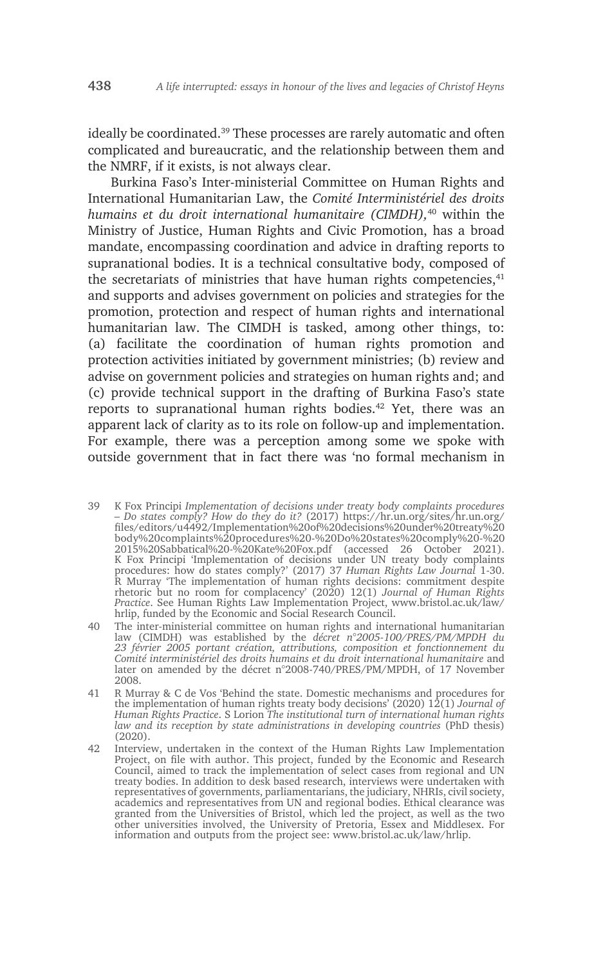ideally be coordinated.<sup>39</sup> These processes are rarely automatic and often complicated and bureaucratic, and the relationship between them and the NMRF, if it exists, is not always clear.

Burkina Faso's Inter-ministerial Committee on Human Rights and International Humanitarian Law, the *Comité Interministériel des droits humains et du droit international humanitaire (CIMDH),*40 within the Ministry of Justice, Human Rights and Civic Promotion, has a broad mandate, encompassing coordination and advice in drafting reports to supranational bodies. It is a technical consultative body, composed of the secretariats of ministries that have human rights competencies, $41$ and supports and advises government on policies and strategies for the promotion, protection and respect of human rights and international humanitarian law. The CIMDH is tasked, among other things, to: (a) facilitate the coordination of human rights promotion and protection activities initiated by government ministries; (b) review and advise on government policies and strategies on human rights and; and (c) provide technical support in the drafting of Burkina Faso's state reports to supranational human rights bodies.<sup>42</sup> Yet, there was an apparent lack of clarity as to its role on follow-up and implementation. For example, there was a perception among some we spoke with outside government that in fact there was 'no formal mechanism in

- 39 K Fox Principi *Implementation of decisions under treaty body complaints procedures – Do states comply? How do they do it?* (2017) https://hr.un.org/sites/hr.un.org/ files/editors/u4492/Implementation%20of%20decisions%20under%20treaty%20 body%20complaints%20procedures%20-%20Do%20states%20comply%20-%20 2015%20Sabbatical%20-%20Kate%20Fox.pdf (accessed 26 October 2021). K Fox Principi 'Implementation of decisions under UN treaty body complaints procedures: how do states comply?' (2017) 37 *Human Rights Law Journal* 1-30. R Murray 'The implementation of human rights decisions: commitment despite rhetoric but no room for complacency' (2020) 12(1) *Journal of Human Rights Practice*. See Human Rights Law Implementation Project, www.bristol.ac.uk/law/ hrlip, funded by the Economic and Social Research Council.
- 40 The inter-ministerial committee on human rights and international humanitarian<br>law (CIMDH) was established by the *décret n°2005-100/PRES/PM/MPDH du<br>23 février 2005 portant création, attributions, composition et foncti Comité interministériel des droits humains et du droit international humanitaire* and later on amended by the décret n°2008-740/PRES/PM/MPDH, of 17 November 2008.
- 41 R Murray & C de Vos 'Behind the state. Domestic mechanisms and procedures for the implementation of human rights treaty body decisions' (2020) 12(1) *Journal of Human Rights Practice*. S Lorion *The institutional turn of international human rights law and its reception by state administrations in developing countries* (PhD thesis) (2020).
- 42 Interview, undertaken in the context of the Human Rights Law Implementation Project, on file with author. This project, funded by the Economic and Research Council, aimed to track the implementation of select cases from regional and UN treaty bodies. In addition to desk based research, interviews were undertaken with representatives of governments, parliamentarians, the judiciary, NHRIs, civil society, academics and representatives from UN and regional bodies. Ethical clearance was granted from the Universities of Bristol, which led the project, as well as the two other universities involved, the University of Pretoria, Essex and Middlesex. For information and outputs from the project see: www.bristol.ac.uk/law/hrlip.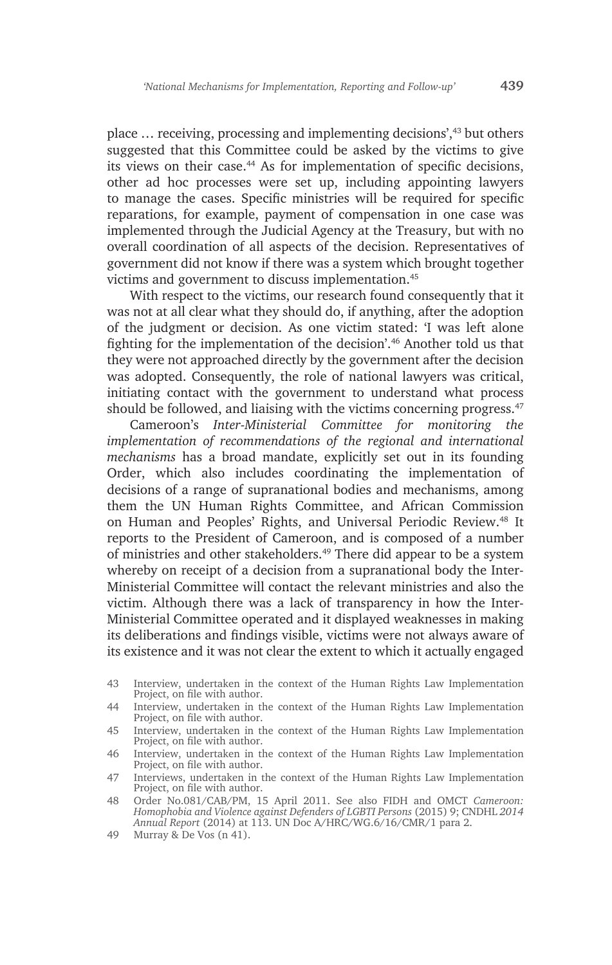place … receiving, processing and implementing decisions',43 but others suggested that this Committee could be asked by the victims to give its views on their case.<sup>44</sup> As for implementation of specific decisions, other ad hoc processes were set up, including appointing lawyers to manage the cases. Specific ministries will be required for specific reparations, for example, payment of compensation in one case was implemented through the Judicial Agency at the Treasury, but with no overall coordination of all aspects of the decision. Representatives of government did not know if there was a system which brought together victims and government to discuss implementation.45

With respect to the victims, our research found consequently that it was not at all clear what they should do, if anything, after the adoption of the judgment or decision. As one victim stated: 'I was left alone fighting for the implementation of the decision'.46 Another told us that they were not approached directly by the government after the decision was adopted. Consequently, the role of national lawyers was critical, initiating contact with the government to understand what process should be followed, and liaising with the victims concerning progress.<sup>47</sup>

Cameroon's *Inter-Ministerial Committee for monitoring the implementation of recommendations of the regional and international mechanisms* has a broad mandate, explicitly set out in its founding Order, which also includes coordinating the implementation of decisions of a range of supranational bodies and mechanisms, among them the UN Human Rights Committee, and African Commission on Human and Peoples' Rights, and Universal Periodic Review.48 It reports to the President of Cameroon, and is composed of a number of ministries and other stakeholders.49 There did appear to be a system whereby on receipt of a decision from a supranational body the Inter-Ministerial Committee will contact the relevant ministries and also the victim. Although there was a lack of transparency in how the Inter-Ministerial Committee operated and it displayed weaknesses in making its deliberations and findings visible, victims were not always aware of its existence and it was not clear the extent to which it actually engaged

44 Interview, undertaken in the context of the Human Rights Law Implementation Project, on file with author.

<sup>43</sup> Interview, undertaken in the context of the Human Rights Law Implementation Project, on file with author.

<sup>45</sup> Interview, undertaken in the context of the Human Rights Law Implementation Project, on file with author.

<sup>46</sup> Interview, undertaken in the context of the Human Rights Law Implementation Project, on file with author.

<sup>47</sup> Interviews, undertaken in the context of the Human Rights Law Implementation Project, on file with author.

<sup>48</sup> Order No.081/CAB/PM, 15 April 2011. See also FIDH and OMCT *Cameroon: Homophobia and Violence against Defenders of LGBTI Persons* (2015) 9; CNDHL *2014 Annual Report* (2014) at 113. UN Doc A/HRC/WG.6/16/CMR/1 para 2.

<sup>49</sup> Murray & De Vos (n 41).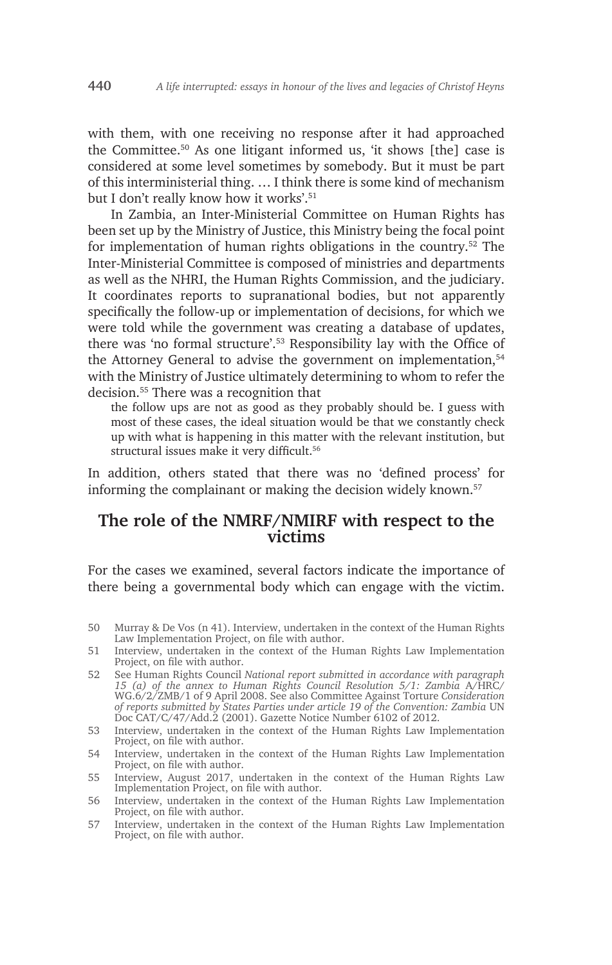with them, with one receiving no response after it had approached the Committee.50 As one litigant informed us, 'it shows [the] case is considered at some level sometimes by somebody. But it must be part of this interministerial thing. … I think there is some kind of mechanism but I don't really know how it works'.51

In Zambia, an Inter-Ministerial Committee on Human Rights has been set up by the Ministry of Justice, this Ministry being the focal point for implementation of human rights obligations in the country.52 The Inter-Ministerial Committee is composed of ministries and departments as well as the NHRI, the Human Rights Commission, and the judiciary. It coordinates reports to supranational bodies, but not apparently specifically the follow-up or implementation of decisions, for which we were told while the government was creating a database of updates, there was 'no formal structure'.53 Responsibility lay with the Office of the Attorney General to advise the government on implementation, $54$ with the Ministry of Justice ultimately determining to whom to refer the decision.55 There was a recognition that

the follow ups are not as good as they probably should be. I guess with most of these cases, the ideal situation would be that we constantly check up with what is happening in this matter with the relevant institution, but structural issues make it very difficult.<sup>56</sup>

In addition, others stated that there was no 'defined process' for informing the complainant or making the decision widely known.<sup>57</sup>

## **The role of the NMRF/NMIRF with respect to the victims**

For the cases we examined, several factors indicate the importance of there being a governmental body which can engage with the victim.

- 50 Murray & De Vos (n 41). Interview, undertaken in the context of the Human Rights Law Implementation Project, on file with author.
- 51 Interview, undertaken in the context of the Human Rights Law Implementation Project, on file with author.
- 52 See Human Rights Council *National report submitted in accordance with paragraph 15 (a) of the annex to Human Rights Council Resolution 5/1: Zambia* A/HRC/ WG.6/2/ZMB/1 of 9 April 2008. See also Committee Against Torture *Consideration of reports submitted by States Parties under article 19 of the Convention: Zambia* UN Doc CAT/C/47/Add.2 (2001). Gazette Notice Number 6102 of 2012.
- 53 Interview, undertaken in the context of the Human Rights Law Implementation Project, on file with author.
- 54 Interview, undertaken in the context of the Human Rights Law Implementation Project, on file with author.
- 55 Interview, August 2017, undertaken in the context of the Human Rights Law Implementation Project, on file with author.
- 56 Interview, undertaken in the context of the Human Rights Law Implementation Project, on file with author.
- 57 Interview, undertaken in the context of the Human Rights Law Implementation Project, on file with author.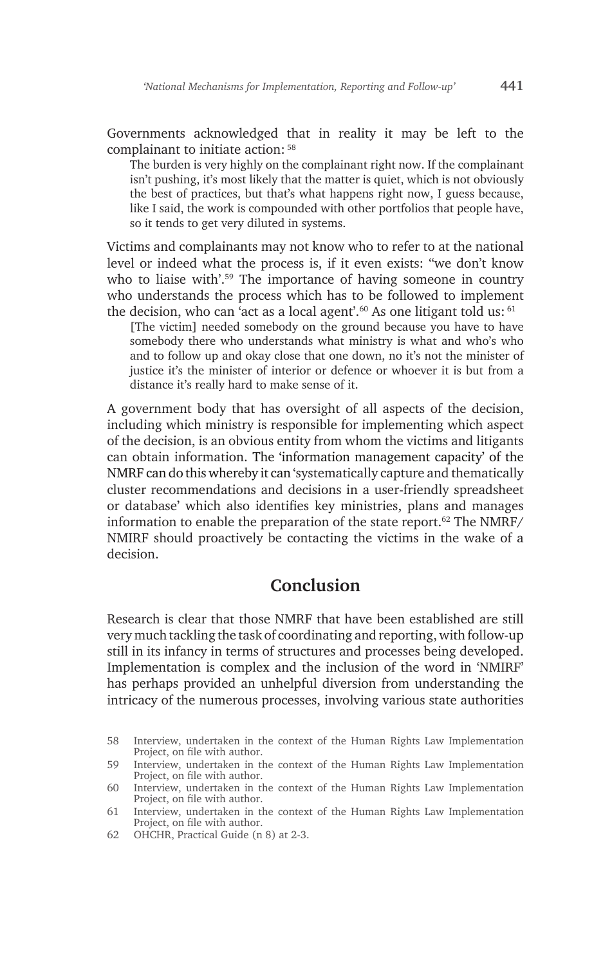Governments acknowledged that in reality it may be left to the complainant to initiate action: 58

The burden is very highly on the complainant right now. If the complainant isn't pushing, it's most likely that the matter is quiet, which is not obviously the best of practices, but that's what happens right now, I guess because, like I said, the work is compounded with other portfolios that people have, so it tends to get very diluted in systems.

Victims and complainants may not know who to refer to at the national level or indeed what the process is, if it even exists: ''we don't know who to liaise with'.<sup>59</sup> The importance of having someone in country who understands the process which has to be followed to implement the decision, who can 'act as a local agent'.<sup>60</sup> As one litigant told us:  $61$ 

[The victim] needed somebody on the ground because you have to have somebody there who understands what ministry is what and who's who and to follow up and okay close that one down, no it's not the minister of justice it's the minister of interior or defence or whoever it is but from a distance it's really hard to make sense of it.

A government body that has oversight of all aspects of the decision, including which ministry is responsible for implementing which aspect of the decision, is an obvious entity from whom the victims and litigants can obtain information. The 'information management capacity' of the NMRF can do this whereby it can 'systematically capture and thematically cluster recommendations and decisions in a user-friendly spreadsheet or database' which also identifies key ministries, plans and manages information to enable the preparation of the state report.<sup>62</sup> The NMRF/ NMIRF should proactively be contacting the victims in the wake of a decision.

#### **Conclusion**

Research is clear that those NMRF that have been established are still very much tackling the task of coordinating and reporting, with follow-up still in its infancy in terms of structures and processes being developed. Implementation is complex and the inclusion of the word in 'NMIRF' has perhaps provided an unhelpful diversion from understanding the intricacy of the numerous processes, involving various state authorities

<sup>58</sup> Interview, undertaken in the context of the Human Rights Law Implementation Project, on file with author.

<sup>59</sup> Interview, undertaken in the context of the Human Rights Law Implementation Project, on file with author.

<sup>60</sup> Interview, undertaken in the context of the Human Rights Law Implementation Project, on file with author.

<sup>61</sup> Interview, undertaken in the context of the Human Rights Law Implementation Project, on file with author.

<sup>62</sup> OHCHR, Practical Guide (n 8) at 2-3.